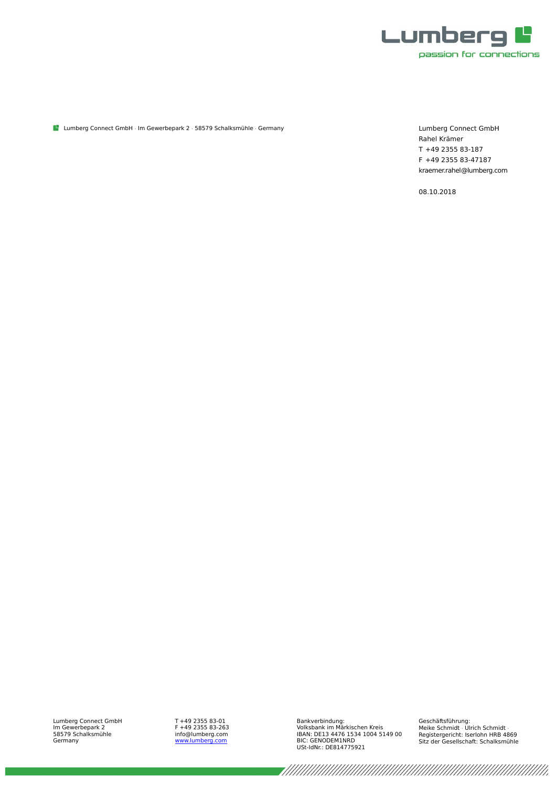

Lumberg Connect GmbH · Im Gewerbepark 2 · 58579 Schalksmühle · Germany

Lumberg Connect GmbH Rahel Krämer T +49 2355 83-187 F +49 2355 83-47187 kraemer.rahel@lumberg.com

08.10.2018

Lumberg Connect GmbH Im Gewerbepark 2 58579 Schalksmühle Germany

T +49 2355 83-01 F +49 2355 83-263 info@lumberg.com<br><u>[www.lumberg.com](http://www.lumberg.com/)</u> Bankverbindung: Volksbank im Märkischen Kreis IBAN: DE13 4476 1534 1004 5149 00 BIC: GENODEM1NRD USt-IdNr.: DE814775921

Geschäftsführung: Meike Schmidt Ulrich Schmidt Registergericht: Iserlohn HRB 4869 Sitz der Gesellschaft: Schalksmühle